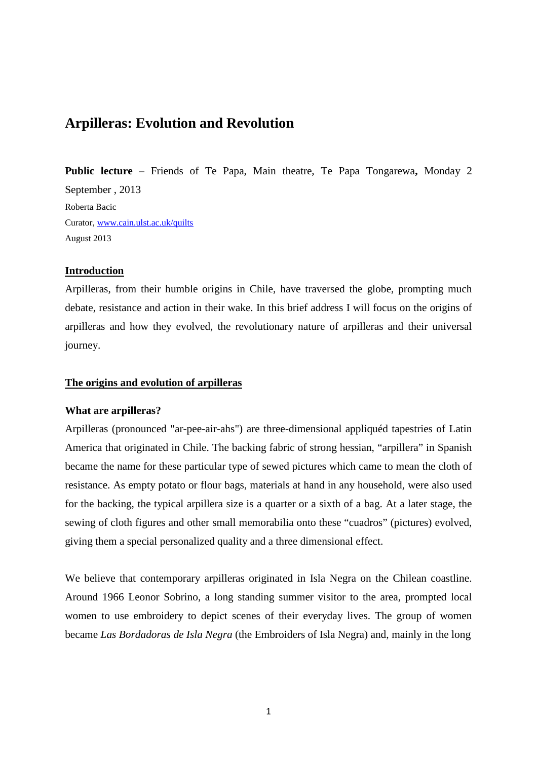# **Arpilleras: Evolution and Revolution**

**Public lecture** – Friends of Te Papa, Main theatre, Te Papa Tongarewa**,** Monday 2 September , 2013 Roberta Bacic Curator, www.cain.ulst.ac.uk/quilts August 2013

# **Introduction**

Arpilleras, from their humble origins in Chile, have traversed the globe, prompting much debate, resistance and action in their wake. In this brief address I will focus on the origins of arpilleras and how they evolved, the revolutionary nature of arpilleras and their universal journey.

#### **The origins and evolution of arpilleras**

#### **What are arpilleras?**

Arpilleras (pronounced "ar-pee-air-ahs") are three-dimensional appliquéd tapestries of Latin America that originated in Chile. The backing fabric of strong hessian, "arpillera" in Spanish became the name for these particular type of sewed pictures which came to mean the cloth of resistance. As empty potato or flour bags, materials at hand in any household, were also used for the backing, the typical arpillera size is a quarter or a sixth of a bag. At a later stage, the sewing of cloth figures and other small memorabilia onto these "cuadros" (pictures) evolved, giving them a special personalized quality and a three dimensional effect.

We believe that contemporary arpilleras originated in Isla Negra on the Chilean coastline. Around 1966 Leonor Sobrino, a long standing summer visitor to the area, prompted local women to use embroidery to depict scenes of their everyday lives. The group of women became *Las Bordadoras de Isla Negra* (the Embroiders of Isla Negra) and, mainly in the long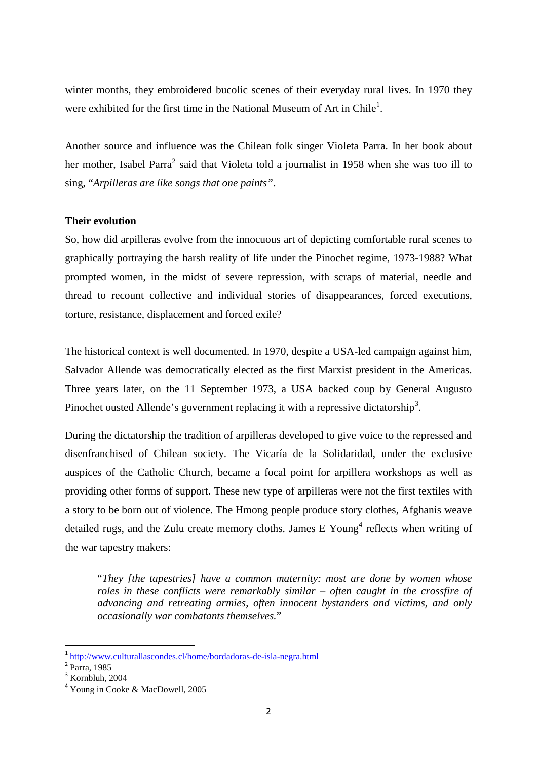winter months, they embroidered bucolic scenes of their everyday rural lives. In 1970 they were exhibited for the first time in the National Museum of Art in Chile<sup>1</sup>.

Another source and influence was the Chilean folk singer Violeta Parra. In her book about her mother, Isabel Parra<sup>2</sup> said that Violeta told a journalist in 1958 when she was too ill to sing, "*Arpilleras are like songs that one paints"*.

## **Their evolution**

So, how did arpilleras evolve from the innocuous art of depicting comfortable rural scenes to graphically portraying the harsh reality of life under the Pinochet regime, 1973-1988? What prompted women, in the midst of severe repression, with scraps of material, needle and thread to recount collective and individual stories of disappearances, forced executions, torture, resistance, displacement and forced exile?

The historical context is well documented. In 1970, despite a USA-led campaign against him, Salvador Allende was democratically elected as the first Marxist president in the Americas. Three years later, on the 11 September 1973, a USA backed coup by General Augusto Pinochet ousted Allende's government replacing it with a repressive dictatorship<sup>3</sup>.

During the dictatorship the tradition of arpilleras developed to give voice to the repressed and disenfranchised of Chilean society. The Vicaría de la Solidaridad, under the exclusive auspices of the Catholic Church, became a focal point for arpillera workshops as well as providing other forms of support. These new type of arpilleras were not the first textiles with a story to be born out of violence. The Hmong people produce story clothes, Afghanis weave detailed rugs, and the Zulu create memory cloths. James E Young<sup>4</sup> reflects when writing of the war tapestry makers:

"*They [the tapestries] have a common maternity: most are done by women whose roles in these conflicts were remarkably similar – often caught in the crossfire of advancing and retreating armies*, *often innocent bystanders and victims, and only occasionally war combatants themselves.*"

l

<sup>&</sup>lt;sup>1</sup>http://www.culturallascondes.cl/home/bordadoras-de-isla-negra.html

<sup>&</sup>lt;sup>2</sup> Parra, 1985

<sup>&</sup>lt;sup>3</sup> Kornbluh, 2004

<sup>4</sup> Young in Cooke & MacDowell, 2005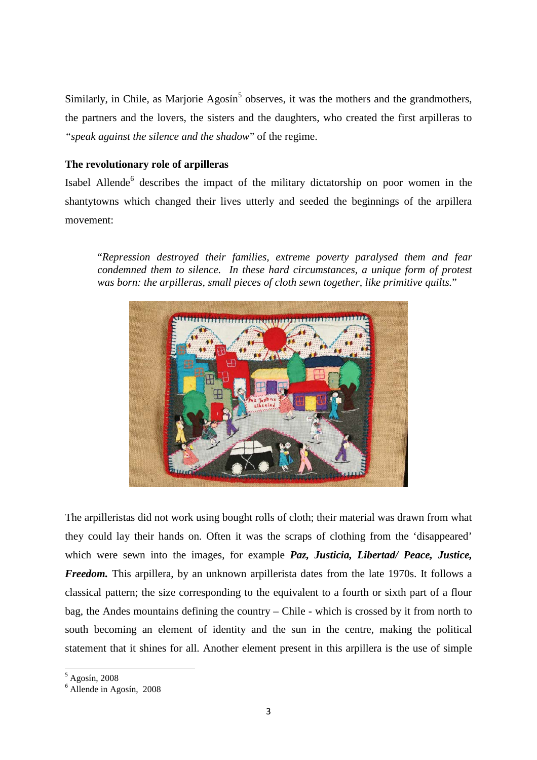Similarly, in Chile, as Marjorie Agosín<sup>5</sup> observes, it was the mothers and the grandmothers, the partners and the lovers, the sisters and the daughters, who created the first arpilleras to *"speak against the silence and the shadow*" of the regime.

# **The revolutionary role of arpilleras**

Isabel Allende<sup>6</sup> describes the impact of the military dictatorship on poor women in the shantytowns which changed their lives utterly and seeded the beginnings of the arpillera movement:

"*Repression destroyed their families, extreme poverty paralysed them and fear condemned them to silence. In these hard circumstances, a unique form of protest was born: the arpilleras, small pieces of cloth sewn together, like primitive quilts.*"



The arpilleristas did not work using bought rolls of cloth; their material was drawn from what they could lay their hands on. Often it was the scraps of clothing from the 'disappeared' which were sewn into the images, for example *Paz, Justicia, Libertad/ Peace, Justice, Freedom.* This arpillera, by an unknown arpillerista dates from the late 1970s. It follows a classical pattern; the size corresponding to the equivalent to a fourth or sixth part of a flour bag, the Andes mountains defining the country – Chile - which is crossed by it from north to south becoming an element of identity and the sun in the centre, making the political statement that it shines for all. Another element present in this arpillera is the use of simple

 $5$  Agosín, 2008

l

 $6$  Allende in Agosín, 2008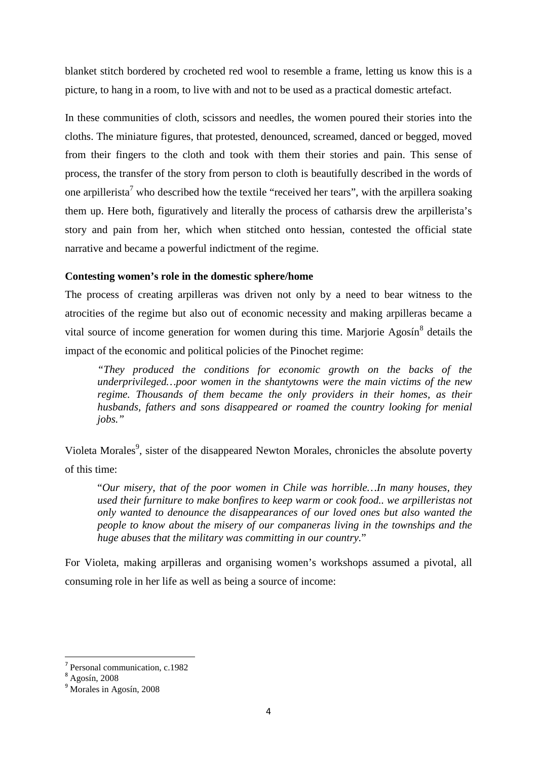blanket stitch bordered by crocheted red wool to resemble a frame, letting us know this is a picture, to hang in a room, to live with and not to be used as a practical domestic artefact.

In these communities of cloth, scissors and needles, the women poured their stories into the cloths. The miniature figures, that protested, denounced, screamed, danced or begged, moved from their fingers to the cloth and took with them their stories and pain. This sense of process, the transfer of the story from person to cloth is beautifully described in the words of one arpillerista<sup>7</sup> who described how the textile "received her tears", with the arpillera soaking them up. Here both, figuratively and literally the process of catharsis drew the arpillerista's story and pain from her, which when stitched onto hessian, contested the official state narrative and became a powerful indictment of the regime.

## **Contesting women's role in the domestic sphere/home**

The process of creating arpilleras was driven not only by a need to bear witness to the atrocities of the regime but also out of economic necessity and making arpilleras became a vital source of income generation for women during this time. Marjorie Agosín<sup>8</sup> details the impact of the economic and political policies of the Pinochet regime:

*"They produced the conditions for economic growth on the backs of the underprivileged…poor women in the shantytowns were the main victims of the new regime. Thousands of them became the only providers in their homes, as their husbands, fathers and sons disappeared or roamed the country looking for menial jobs."*

Violeta Morales<sup>9</sup>, sister of the disappeared Newton Morales, chronicles the absolute poverty of this time:

"*Our misery, that of the poor women in Chile was horrible…In many houses, they used their furniture to make bonfires to keep warm or cook food.. we arpilleristas not only wanted to denounce the disappearances of our loved ones but also wanted the people to know about the misery of our companeras living in the townships and the huge abuses that the military was committing in our country.*"

For Violeta, making arpilleras and organising women's workshops assumed a pivotal, all consuming role in her life as well as being a source of income:

 $\overline{a}$ 

<sup>7</sup> Personal communication, c.1982

 $8 \text{ Agosín}$ , 2008

<sup>9</sup> Morales in Agosín, 2008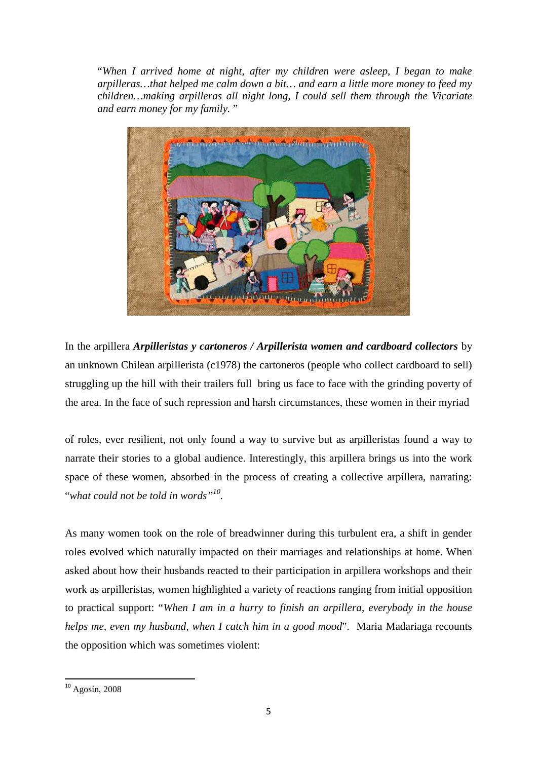"*When I arrived home at night, after my children were asleep, I began to make arpilleras…that helped me calm down a bit… and earn a little more money to feed my children…making arpilleras all night long, I could sell them through the Vicariate and earn money for my family.* "



In the arpillera *Arpilleristas y cartoneros / Arpillerista women and cardboard collectors* by an unknown Chilean arpillerista (c1978) the cartoneros (people who collect cardboard to sell) struggling up the hill with their trailers full bring us face to face with the grinding poverty of the area. In the face of such repression and harsh circumstances, these women in their myriad

of roles, ever resilient, not only found a way to survive but as arpilleristas found a way to narrate their stories to a global audience. Interestingly, this arpillera brings us into the work space of these women, absorbed in the process of creating a collective arpillera, narrating: "*what could not be told in words"<sup>10</sup> .*

As many women took on the role of breadwinner during this turbulent era, a shift in gender roles evolved which naturally impacted on their marriages and relationships at home. When asked about how their husbands reacted to their participation in arpillera workshops and their work as arpilleristas, women highlighted a variety of reactions ranging from initial opposition to practical support: "*When I am in a hurry to finish an arpillera, everybody in the house helps me, even my husband, when I catch him in a good mood*". Maria Madariaga recounts the opposition which was sometimes violent:

 $\overline{a}$ 

<sup>10</sup> Agosín, 2008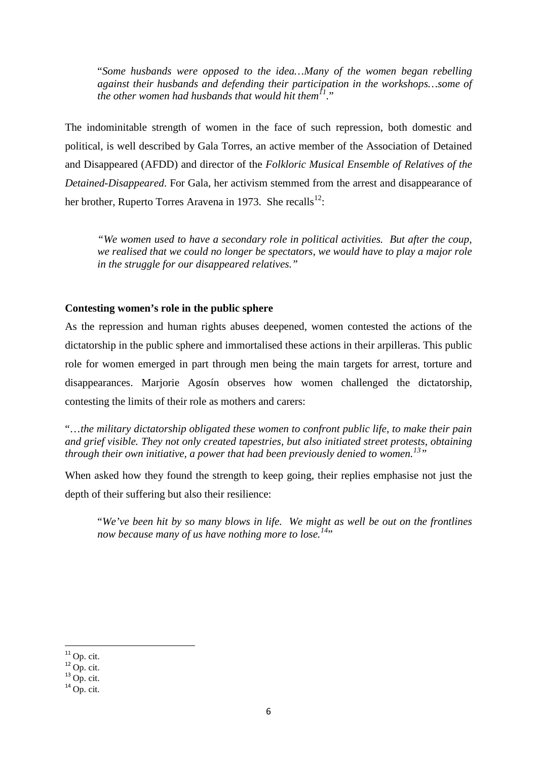"*Some husbands were opposed to the idea…Many of the women began rebelling against their husbands and defending their participation in the workshops…some of the other women had husbands that would hit them<sup>11</sup> .*"

The indominitable strength of women in the face of such repression, both domestic and political, is well described by Gala Torres, an active member of the Association of Detained and Disappeared (AFDD) and director of the *Folkloric Musical Ensemble of Relatives of the Detained-Disappeared*. For Gala, her activism stemmed from the arrest and disappearance of her brother, Ruperto Torres Aravena in 1973. She recalls<sup>12</sup>:

*"We women used to have a secondary role in political activities. But after the coup, we realised that we could no longer be spectators, we would have to play a major role in the struggle for our disappeared relatives."*

# **Contesting women's role in the public sphere**

As the repression and human rights abuses deepened, women contested the actions of the dictatorship in the public sphere and immortalised these actions in their arpilleras. This public role for women emerged in part through men being the main targets for arrest, torture and disappearances. Marjorie Agosín observes how women challenged the dictatorship, contesting the limits of their role as mothers and carers:

"…*the military dictatorship obligated these women to confront public life, to make their pain and grief visible. They not only created tapestries, but also initiated street protests, obtaining through their own initiative, a power that had been previously denied to women.<sup>13</sup>"*

When asked how they found the strength to keep going, their replies emphasise not just the depth of their suffering but also their resilience:

"*We've been hit by so many blows in life. We might as well be out on the frontlines now because many of us have nothing more to lose.*<sup>14</sup>"

l

 $11$  Op. cit.

 $12$  Op. cit.

 $^{13}$  Op. cit.

 $14$  Op. cit.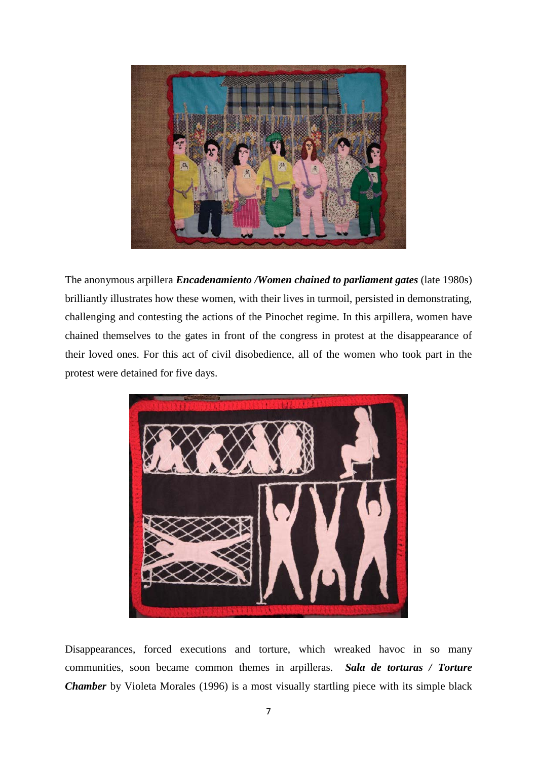

The anonymous arpillera *Encadenamiento /Women chained to parliament gates* (late 1980s) brilliantly illustrates how these women, with their lives in turmoil, persisted in demonstrating, challenging and contesting the actions of the Pinochet regime. In this arpillera, women have chained themselves to the gates in front of the congress in protest at the disappearance of their loved ones. For this act of civil disobedience, all of the women who took part in the protest were detained for five days.



Disappearances, forced executions and torture, which wreaked havoc in so many communities, soon became common themes in arpilleras. *Sala de torturas / Torture Chamber* by Violeta Morales (1996) is a most visually startling piece with its simple black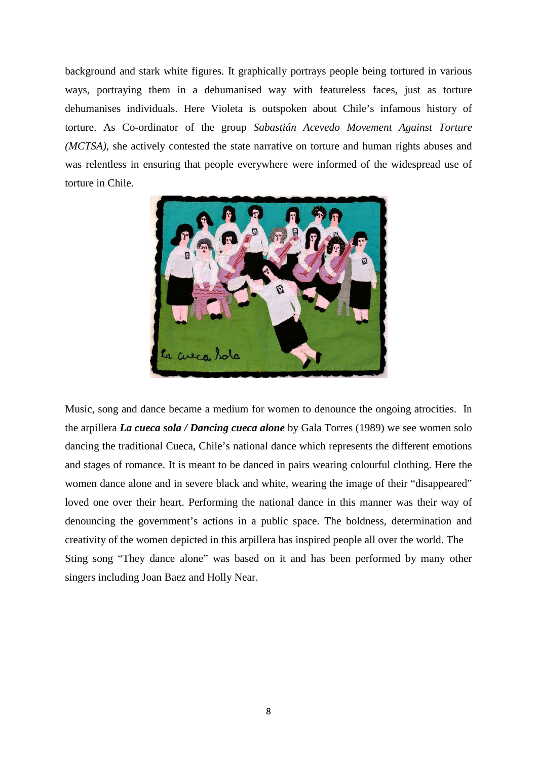background and stark white figures. It graphically portrays people being tortured in various ways, portraying them in a dehumanised way with featureless faces, just as torture dehumanises individuals. Here Violeta is outspoken about Chile's infamous history of torture. As Co-ordinator of the group *Sabastián Acevedo Movement Against Torture (MCTSA)*, she actively contested the state narrative on torture and human rights abuses and was relentless in ensuring that people everywhere were informed of the widespread use of torture in Chile.



Music, song and dance became a medium for women to denounce the ongoing atrocities. In the arpillera *La cueca sola / Dancing cueca alone* by Gala Torres (1989) we see women solo dancing the traditional Cueca, Chile's national dance which represents the different emotions and stages of romance. It is meant to be danced in pairs wearing colourful clothing. Here the women dance alone and in severe black and white, wearing the image of their "disappeared" loved one over their heart. Performing the national dance in this manner was their way of denouncing the government's actions in a public space. The boldness, determination and creativity of the women depicted in this arpillera has inspired people all over the world. The Sting song "They dance alone" was based on it and has been performed by many other singers including Joan Baez and Holly Near.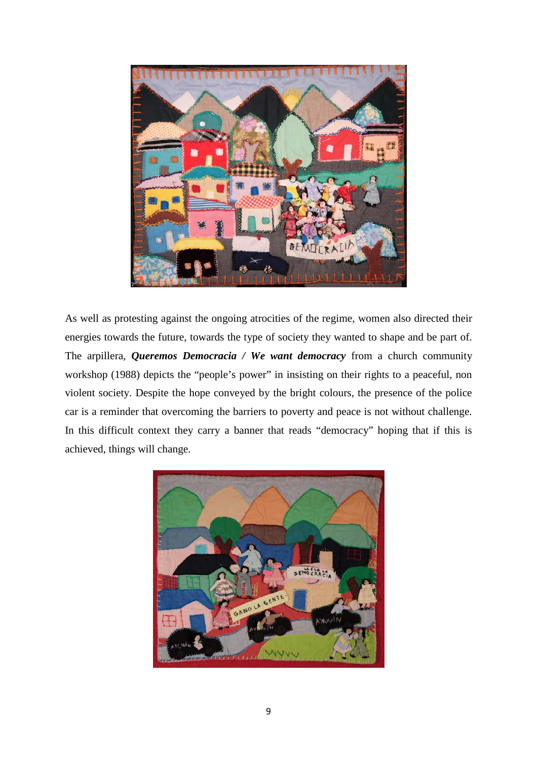

As well as protesting against the ongoing atrocities of the regime, women also directed their energies towards the future, towards the type of society they wanted to shape and be part of. The arpillera, *Queremos Democracia / We want democracy* from a church community workshop (1988) depicts the "people's power" in insisting on their rights to a peaceful, non violent society. Despite the hope conveyed by the bright colours, the presence of the police car is a reminder that overcoming the barriers to poverty and peace is not without challenge. In this difficult context they carry a banner that reads "democracy" hoping that if this is achieved, things will change.

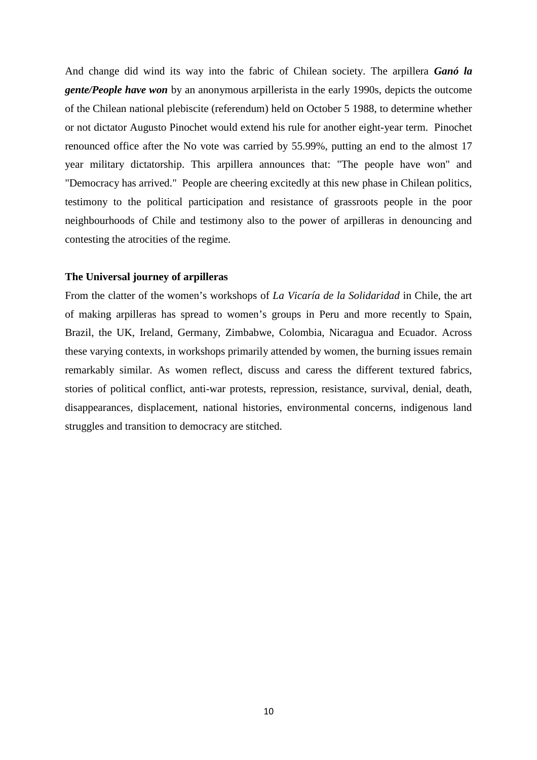And change did wind its way into the fabric of Chilean society. The arpillera *Ganó la gente/People have won* by an anonymous arpillerista in the early 1990s, depicts the outcome of the Chilean national plebiscite (referendum) held on October 5 1988, to determine whether or not dictator Augusto Pinochet would extend his rule for another eight-year term. Pinochet renounced office after the No vote was carried by 55.99%, putting an end to the almost 17 year military dictatorship. This arpillera announces that: "The people have won" and "Democracy has arrived." People are cheering excitedly at this new phase in Chilean politics, testimony to the political participation and resistance of grassroots people in the poor neighbourhoods of Chile and testimony also to the power of arpilleras in denouncing and contesting the atrocities of the regime.

#### **The Universal journey of arpilleras**

From the clatter of the women's workshops of *La Vicaría de la Solidaridad* in Chile, the art of making arpilleras has spread to women's groups in Peru and more recently to Spain, Brazil, the UK, Ireland, Germany, Zimbabwe, Colombia, Nicaragua and Ecuador. Across these varying contexts, in workshops primarily attended by women, the burning issues remain remarkably similar. As women reflect, discuss and caress the different textured fabrics, stories of political conflict, anti-war protests, repression, resistance, survival, denial, death, disappearances, displacement, national histories, environmental concerns, indigenous land struggles and transition to democracy are stitched.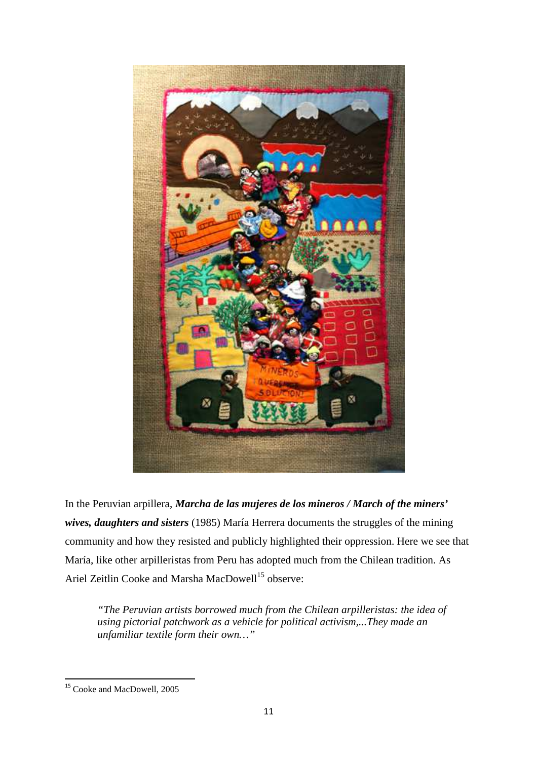

In the Peruvian arpillera, *Marcha de las mujeres de los mineros / March of the miners' wives, daughters and sisters* (1985) María Herrera documents the struggles of the mining community and how they resisted and publicly highlighted their oppression. Here we see that María, like other arpilleristas from Peru has adopted much from the Chilean tradition. As Ariel Zeitlin Cooke and Marsha MacDowell<sup>15</sup> observe:

*"The Peruvian artists borrowed much from the Chilean arpilleristas: the idea of using pictorial patchwork as a vehicle for political activism,...They made an unfamiliar textile form their own…"*

 $\overline{a}$ 

<sup>&</sup>lt;sup>15</sup> Cooke and MacDowell, 2005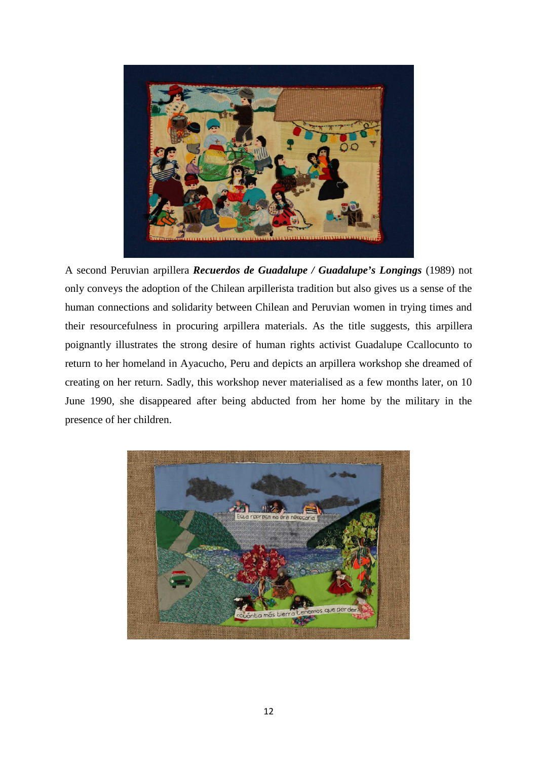

A second Peruvian arpillera *Recuerdos de Guadalupe / Guadalupe's Longings* (1989) not only conveys the adoption of the Chilean arpillerista tradition but also gives us a sense of the human connections and solidarity between Chilean and Peruvian women in trying times and their resourcefulness in procuring arpillera materials. As the title suggests, this arpillera poignantly illustrates the strong desire of human rights activist Guadalupe Ccallocunto to return to her homeland in Ayacucho, Peru and depicts an arpillera workshop she dreamed of creating on her return. Sadly, this workshop never materialised as a few months later, on 10 June 1990, she disappeared after being abducted from her home by the military in the presence of her children.

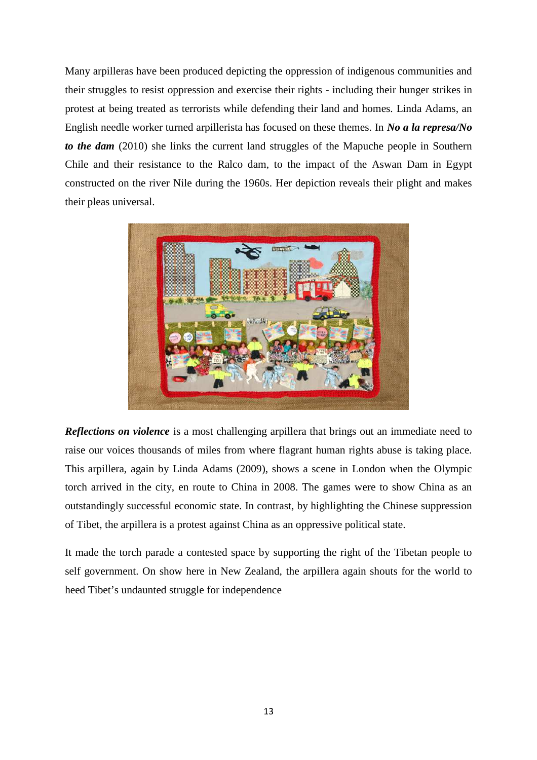Many arpilleras have been produced depicting the oppression of indigenous communities and their struggles to resist oppression and exercise their rights - including their hunger strikes in protest at being treated as terrorists while defending their land and homes. Linda Adams, an English needle worker turned arpillerista has focused on these themes. In *No a la represa/No to the dam* (2010) she links the current land struggles of the Mapuche people in Southern Chile and their resistance to the Ralco dam, to the impact of the Aswan Dam in Egypt constructed on the river Nile during the 1960s. Her depiction reveals their plight and makes their pleas universal.



*Reflections on violence* is a most challenging arpillera that brings out an immediate need to raise our voices thousands of miles from where flagrant human rights abuse is taking place. This arpillera, again by Linda Adams (2009), shows a scene in London when the Olympic torch arrived in the city, en route to China in 2008. The games were to show China as an outstandingly successful economic state. In contrast, by highlighting the Chinese suppression of Tibet, the arpillera is a protest against China as an oppressive political state.

It made the torch parade a contested space by supporting the right of the Tibetan people to self government. On show here in New Zealand, the arpillera again shouts for the world to heed Tibet's undaunted struggle for independence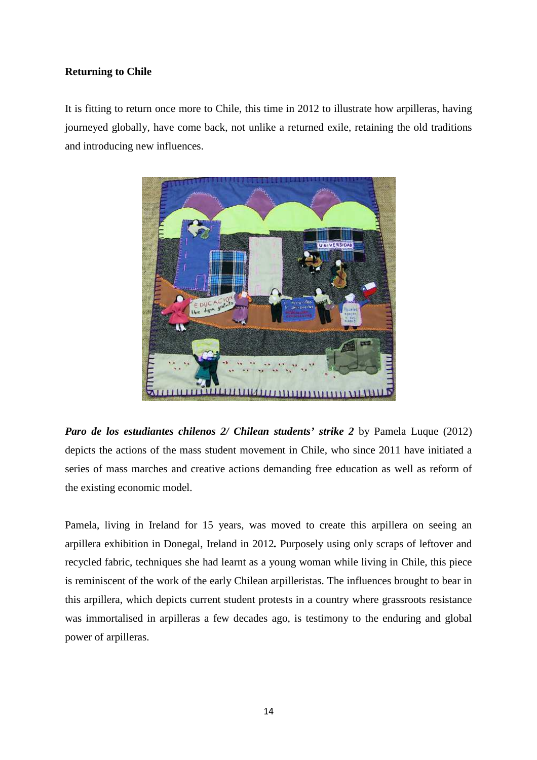# **Returning to Chile**

It is fitting to return once more to Chile, this time in 2012 to illustrate how arpilleras, having journeyed globally, have come back, not unlike a returned exile, retaining the old traditions and introducing new influences.



*Paro de los estudiantes chilenos 2/ Chilean students' strike 2 by Pamela Luque (2012)* depicts the actions of the mass student movement in Chile, who since 2011 have initiated a series of mass marches and creative actions demanding free education as well as reform of the existing economic model.

Pamela, living in Ireland for 15 years, was moved to create this arpillera on seeing an arpillera exhibition in Donegal, Ireland in 2012*.* Purposely using only scraps of leftover and recycled fabric, techniques she had learnt as a young woman while living in Chile, this piece is reminiscent of the work of the early Chilean arpilleristas. The influences brought to bear in this arpillera, which depicts current student protests in a country where grassroots resistance was immortalised in arpilleras a few decades ago, is testimony to the enduring and global power of arpilleras.